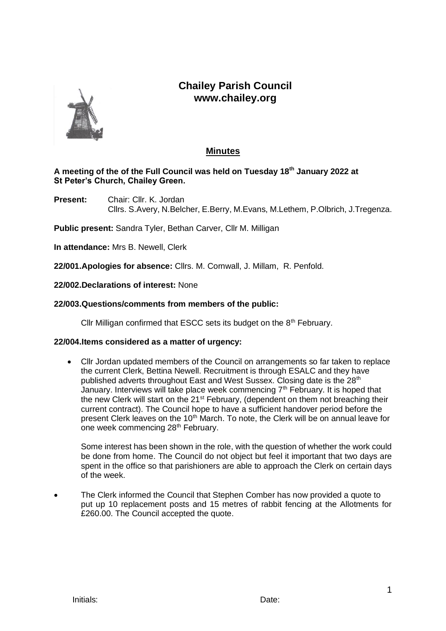# **Chailey Parish Council www.chailey.org**



## **Minutes**

## **A meeting of the of the Full Council was held on Tuesday 18th January 2022 at St Peter's Church, Chailey Green.**

**Present:** Chair: Cllr. K. Jordan Cllrs. S.Avery, N.Belcher, E.Berry, M.Evans, M.Lethem, P.Olbrich, J.Tregenza.

**Public present:** Sandra Tyler, Bethan Carver, Cllr M. Milligan

**In attendance:** Mrs B. Newell, Clerk

**22/001.Apologies for absence:** Cllrs. M. Cornwall, J. Millam, R. Penfold.

**22/002.Declarations of interest:** None

## **22/003.Questions/comments from members of the public:**

Cllr Milligan confirmed that ESCC sets its budget on the  $8<sup>th</sup>$  February.

## **22/004.Items considered as a matter of urgency:**

• Cllr Jordan updated members of the Council on arrangements so far taken to replace the current Clerk, Bettina Newell. Recruitment is through ESALC and they have published adverts throughout East and West Sussex. Closing date is the 28<sup>th</sup> January. Interviews will take place week commencing  $7<sup>th</sup>$  February. It is hoped that the new Clerk will start on the 21<sup>st</sup> February, (dependent on them not breaching their current contract). The Council hope to have a sufficient handover period before the present Clerk leaves on the 10<sup>th</sup> March. To note, the Clerk will be on annual leave for one week commencing 28<sup>th</sup> February.

Some interest has been shown in the role, with the question of whether the work could be done from home. The Council do not object but feel it important that two days are spent in the office so that parishioners are able to approach the Clerk on certain days of the week.

• The Clerk informed the Council that Stephen Comber has now provided a quote to put up 10 replacement posts and 15 metres of rabbit fencing at the Allotments for £260.00. The Council accepted the quote.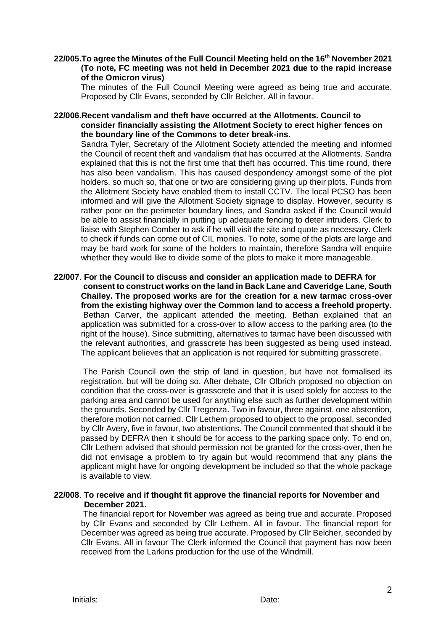#### **22/005.To agree the Minutes of the Full Council Meeting held on the 16th November 2021 (To note, FC meeting was not held in December 2021 due to the rapid increase of the Omicron virus)**

The minutes of the Full Council Meeting were agreed as being true and accurate. Proposed by Cllr Evans, seconded by Cllr Belcher. All in favour.

#### **22/006.Recent vandalism and theft have occurred at the Allotments. Council to consider financially assisting the Allotment Society to erect higher fences on the boundary line of the Commons to deter break-ins.**

Sandra Tyler, Secretary of the Allotment Society attended the meeting and informed the Council of recent theft and vandalism that has occurred at the Allotments. Sandra explained that this is not the first time that theft has occurred. This time round, there has also been vandalism. This has caused despondency amongst some of the plot holders, so much so, that one or two are considering giving up their plots. Funds from the Allotment Society have enabled them to install CCTV. The local PCSO has been informed and will give the Allotment Society signage to display. However, security is rather poor on the perimeter boundary lines, and Sandra asked if the Council would be able to assist financially in putting up adequate fencing to deter intruders. Clerk to liaise with Stephen Comber to ask if he will visit the site and quote as necessary. Clerk to check if funds can come out of CIL monies. To note, some of the plots are large and may be hard work for some of the holders to maintain, therefore Sandra will enquire whether they would like to divide some of the plots to make it more manageable.

**22/007**. **For the Council to discuss and consider an application made to DEFRA for consent to construct works on the land in Back Lane and Caveridge Lane, South Chailey. The proposed works are for the creation for a new tarmac cross-over from the existing highway over the Common land to access a freehold property.** Bethan Carver, the applicant attended the meeting. Bethan explained that an application was submitted for a cross-over to allow access to the parking area (to the right of the house). Since submitting, alternatives to tarmac have been discussed with the relevant authorities, and grasscrete has been suggested as being used instead. The applicant believes that an application is not required for submitting grasscrete.

The Parish Council own the strip of land in question, but have not formalised its registration, but will be doing so. After debate, Cllr Olbrich proposed no objection on condition that the cross-over is grasscrete and that it is used solely for access to the parking area and cannot be used for anything else such as further development within the grounds. Seconded by Cllr Tregenza. Two in favour, three against, one abstention, therefore motion not carried. Cllr Lethem proposed to object to the proposal, seconded by Cllr Avery, five in favour, two abstentions. The Council commented that should it be passed by DEFRA then it should be for access to the parking space only. To end on, Cllr Lethem advised that should permission not be granted for the cross-over, then he did not envisage a problem to try again but would recommend that any plans the applicant might have for ongoing development be included so that the whole package is available to view.

## **22/008**. **To receive and if thought fit approve the financial reports for November and December 2021.**

The financial report for November was agreed as being true and accurate. Proposed by Cllr Evans and seconded by Cllr Lethem. All in favour. The financial report for December was agreed as being true accurate. Proposed by Cllr Belcher, seconded by Cllr Evans. All in favour The Clerk informed the Council that payment has now been received from the Larkins production for the use of the Windmill.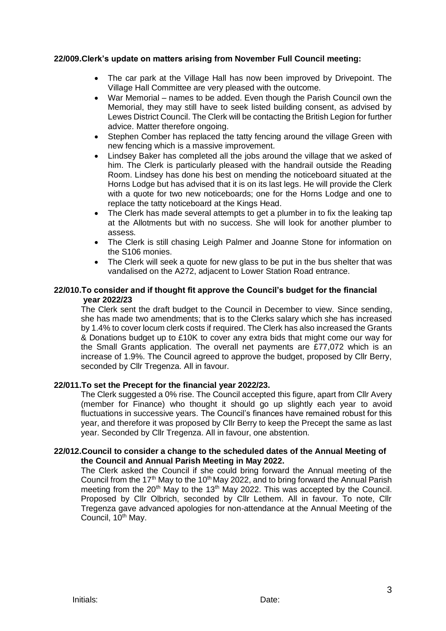## **22/009.Clerk's update on matters arising from November Full Council meeting:**

- The car park at the Village Hall has now been improved by Drivepoint. The Village Hall Committee are very pleased with the outcome.
- War Memorial names to be added. Even though the Parish Council own the Memorial, they may still have to seek listed building consent, as advised by Lewes District Council. The Clerk will be contacting the British Legion for further advice. Matter therefore ongoing.
- Stephen Comber has replaced the tatty fencing around the village Green with new fencing which is a massive improvement.
- Lindsey Baker has completed all the jobs around the village that we asked of him. The Clerk is particularly pleased with the handrail outside the Reading Room. Lindsey has done his best on mending the noticeboard situated at the Horns Lodge but has advised that it is on its last legs. He will provide the Clerk with a quote for two new noticeboards; one for the Horns Lodge and one to replace the tatty noticeboard at the Kings Head.
- The Clerk has made several attempts to get a plumber in to fix the leaking tap at the Allotments but with no success. She will look for another plumber to assess.
- The Clerk is still chasing Leigh Palmer and Joanne Stone for information on the S106 monies.
- The Clerk will seek a quote for new glass to be put in the bus shelter that was vandalised on the A272, adjacent to Lower Station Road entrance.

#### **22/010.To consider and if thought fit approve the Council's budget for the financial year 2022/23**

The Clerk sent the draft budget to the Council in December to view. Since sending, she has made two amendments; that is to the Clerks salary which she has increased by 1.4% to cover locum clerk costs if required. The Clerk has also increased the Grants & Donations budget up to £10K to cover any extra bids that might come our way for the Small Grants application. The overall net payments are £77,072 which is an increase of 1.9%. The Council agreed to approve the budget, proposed by Cllr Berry, seconded by Cllr Tregenza. All in favour.

## **22/011.To set the Precept for the financial year 2022/23.**

The Clerk suggested a 0% rise. The Council accepted this figure, apart from Cllr Avery (member for Finance) who thought it should go up slightly each year to avoid fluctuations in successive years. The Council's finances have remained robust for this year, and therefore it was proposed by Cllr Berry to keep the Precept the same as last year. Seconded by Cllr Tregenza. All in favour, one abstention.

#### **22/012.Council to consider a change to the scheduled dates of the Annual Meeting of the Council and Annual Parish Meeting in May 2022.**

The Clerk asked the Council if she could bring forward the Annual meeting of the Council from the 17<sup>th</sup> May to the 10<sup>th</sup> May 2022, and to bring forward the Annual Parish meeting from the  $20<sup>th</sup>$  May to the 13<sup>th</sup> May 2022. This was accepted by the Council. Proposed by Cllr Olbrich, seconded by Cllr Lethem. All in favour. To note, Cllr Tregenza gave advanced apologies for non-attendance at the Annual Meeting of the Council, 10<sup>th</sup> May.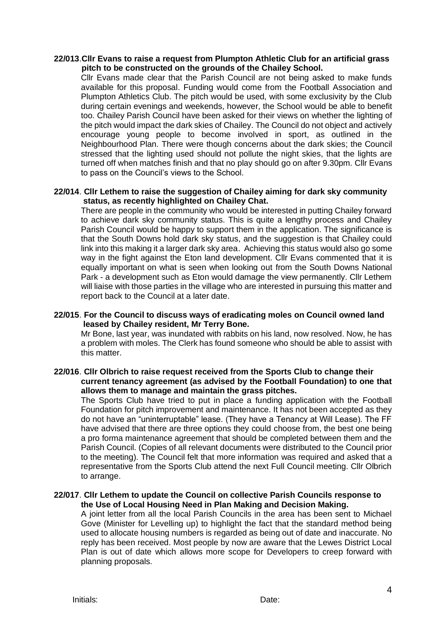#### **22/013**.**Cllr Evans to raise a request from Plumpton Athletic Club for an artificial grass pitch to be constructed on the grounds of the Chailey School.**

Cllr Evans made clear that the Parish Council are not being asked to make funds available for this proposal. Funding would come from the Football Association and Plumpton Athletics Club. The pitch would be used, with some exclusivity by the Club during certain evenings and weekends, however, the School would be able to benefit too. Chailey Parish Council have been asked for their views on whether the lighting of the pitch would impact the dark skies of Chailey. The Council do not object and actively encourage young people to become involved in sport, as outlined in the Neighbourhood Plan. There were though concerns about the dark skies; the Council stressed that the lighting used should not pollute the night skies, that the lights are turned off when matches finish and that no play should go on after 9.30pm. Cllr Evans to pass on the Council's views to the School.

## **22/014**. **Cllr Lethem to raise the suggestion of Chailey aiming for dark sky community status, as recently highlighted on Chailey Chat.**

There are people in the community who would be interested in putting Chailey forward to achieve dark sky community status. This is quite a lengthy process and Chailey Parish Council would be happy to support them in the application. The significance is that the South Downs hold dark sky status, and the suggestion is that Chailey could link into this making it a larger dark sky area. Achieving this status would also go some way in the fight against the Eton land development. Cllr Evans commented that it is equally important on what is seen when looking out from the South Downs National Park - a development such as Eton would damage the view permanently. Cllr Lethem will liaise with those parties in the village who are interested in pursuing this matter and report back to the Council at a later date.

#### **22/015**. **For the Council to discuss ways of eradicating moles on Council owned land leased by Chailey resident, Mr Terry Bone.**

Mr Bone, last year, was inundated with rabbits on his land, now resolved. Now, he has a problem with moles. The Clerk has found someone who should be able to assist with this matter.

#### **22/016**. **Cllr Olbrich to raise request received from the Sports Club to change their current tenancy agreement (as advised by the Football Foundation) to one that allows them to manage and maintain the grass pitches.**

The Sports Club have tried to put in place a funding application with the Football Foundation for pitch improvement and maintenance. It has not been accepted as they do not have an "uninterruptable" lease. (They have a Tenancy at Will Lease). The FF have advised that there are three options they could choose from, the best one being a pro forma maintenance agreement that should be completed between them and the Parish Council. (Copies of all relevant documents were distributed to the Council prior to the meeting). The Council felt that more information was required and asked that a representative from the Sports Club attend the next Full Council meeting. Cllr Olbrich to arrange.

#### **22/017**. **Cllr Lethem to update the Council on collective Parish Councils response to the Use of Local Housing Need in Plan Making and Decision Making.**

A joint letter from all the local Parish Councils in the area has been sent to Michael Gove (Minister for Levelling up) to highlight the fact that the standard method being used to allocate housing numbers is regarded as being out of date and inaccurate. No reply has been received. Most people by now are aware that the Lewes District Local Plan is out of date which allows more scope for Developers to creep forward with planning proposals.